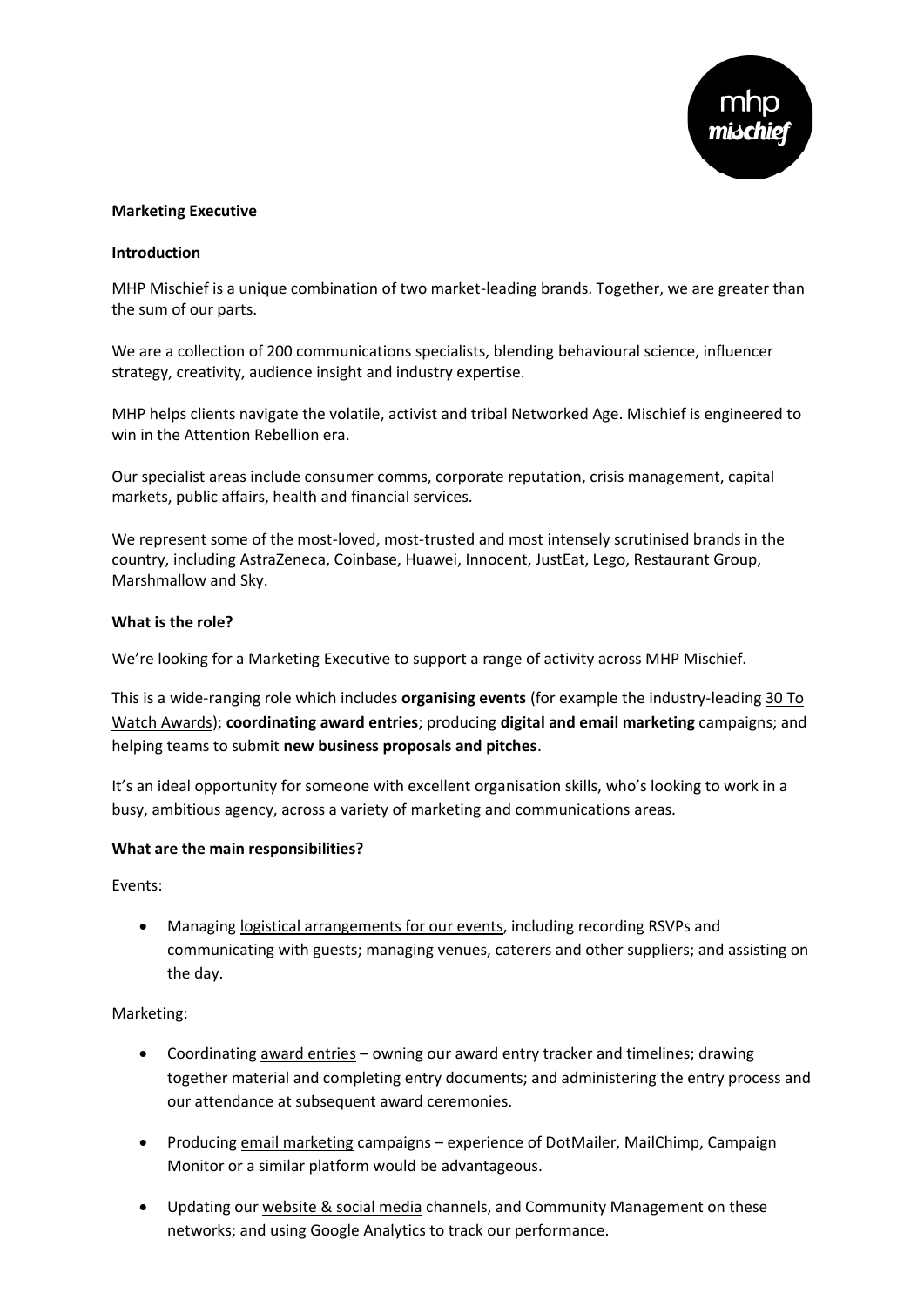

## **Marketing Executive**

## **Introduction**

MHP Mischief is a unique combination of two market-leading brands. Together, we are greater than the sum of our parts.

We are a collection of 200 communications specialists, blending behavioural science, influencer strategy, creativity, audience insight and industry expertise.

MHP helps clients navigate the volatile, activist and tribal Networked Age. Mischief is engineered to win in the Attention Rebellion era.

Our specialist areas include consumer comms, corporate reputation, crisis management, capital markets, public affairs, health and financial services.

We represent some of the most-loved, most-trusted and most intensely scrutinised brands in the country, including AstraZeneca, Coinbase, Huawei, Innocent, JustEat, Lego, Restaurant Group, Marshmallow and Sky.

# **What is the role?**

We're looking for a Marketing Executive to support a range of activity across MHP Mischief.

This is a wide-ranging role which includes **organising events** (for example the industry-leading [30 To](https://www.mhpc.com/diversity-celebrated-at-30-to-watch-awards/)  [Watch Awards\)](https://www.mhpc.com/diversity-celebrated-at-30-to-watch-awards/); **coordinating award entries**; producing **digital and email marketing** campaigns; and helping teams to submit **new business proposals and pitches**.

It's an ideal opportunity for someone with excellent organisation skills, who's looking to work in a busy, ambitious agency, across a variety of marketing and communications areas.

### **What are the main responsibilities?**

Events:

• Managing logistical arrangements for our events, including recording RSVPs and communicating with guests; managing venues, caterers and other suppliers; and assisting on the day.

Marketing:

- Coordinating award entries owning our award entry tracker and timelines; drawing together material and completing entry documents; and administering the entry process and our attendance at subsequent award ceremonies.
- Producing email marketing campaigns experience of DotMailer, MailChimp, Campaign Monitor or a similar platform would be advantageous.
- Updating our website & social media channels, and Community Management on these networks; and using Google Analytics to track our performance.